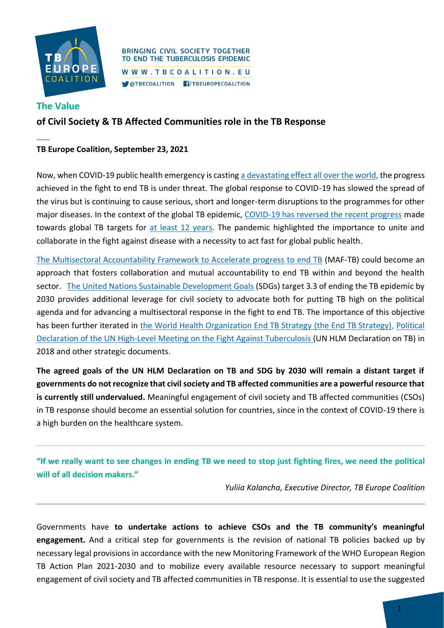

### **BRINGING CIVIL SOCIETY TOGETHER** TO END THE TUBERCULOSIS EPIDEMIC WWW.TBCOALITION.EU COTBECOALITION F/TBEUROPECOALITION

# **The Value**

**\_\_\_**

# **of Civil Society & TB Affected Communities role in the TB Response**

### **TB Europe Coalition, September 23, 2021**

Now, when COVID-19 public health emergency is casting [a devastating effect all over the world,](https://www.theglobalfund.org/en/news/2021-09-08-global-fund-results-report-reveals-covid-19-devastating-impact-on-hiv-tb-and-malaria-programs/) the progress achieved in the fight to end TB is under threat. The global response to COVID-19 has slowed the spread of the virus but is continuing to cause serious, short and longer-term disruptions to the programmes for other major diseases. In the context of the global TB epidemic, [COVID-19 has reversed the recent progress](http://www.stoptb.org/assets/documents/news/Modeling%20Report_1%20May%202020_FINAL.pdf) made towards global TB targets for [at least 12 years.](http://stoptb.org/webadmin/cms/docs/Release%20for%20COVID%20and%20TB%202021%20report%20draft_16%20March_FINAL.pdf) The pandemic highlighted the importance to unite and collaborate in the fight against disease with a necessity to act fast for global public health.

[The Multisectoral Accountability Framework to Accelerate progress to end TB](https://www.euro.who.int/en/health-topics/communicable-diseases/tuberculosis/publications/2021/multisectoral-accountability-framework-to-accelerate-progress-to-end-tb-maf-tb) (MAF-TB) could become an approach that fosters collaboration and mutual accountability to end TB within and beyond the health sector. [The United Nations Sustainable Development Goals](https://www.un.org/sustainabledevelopment/sustainable-development-goals/) (SDGs) target 3.3 of ending the TB epidemic by 2030 provides additional leverage for civil society to advocate both for putting TB high on the political agenda and for advancing a multisectoral response in the fight to end TB. The importance of this objective has been further iterated in [the World Health Organization End TB Strategy](https://www.who.int/tb/End_TB_brochure.pdf?ua=1) (the End TB Strategy), [Political](https://www.who.int/publications/m/item/political-declaration-of-the-un-general-assembly-high-level-meeting-on-the-fight-against-tuberculosis)  [Declaration of the UN High-Level Meeting on the Fight Against Tuberculosis \(](https://www.who.int/publications/m/item/political-declaration-of-the-un-general-assembly-high-level-meeting-on-the-fight-against-tuberculosis)UN HLM Declaration on TB) in 2018 and other strategic documents.

**The agreed goals of the UN HLM Declaration on TB and SDG by 2030 will remain a distant target if governments do not recognize that civil society and TB affected communities are a powerful resource that is currently still undervalued.** Meaningful engagement of civil society and TB affected communities (CSOs) in TB response should become an essential solution for countries, since in the context of COVID-19 there is a high burden on the healthcare system.

**"If we really want to see changes in ending TB we need to stop just fighting fires, we need the political will of all decision makers."**

*Yuliia Kalancha, Executive Director, TB Europe Coalition*

Governments have **to undertake actions to achieve CSOs and the TB community's meaningful engagement.** And a critical step for governments is the revision of national TB policies backed up by necessary legal provisions in accordance with the new Monitoring Framework of the WHO European Region TB Action Plan 2021-2030 and to mobilize every available resource necessary to support meaningful engagement of civil society and TB affected communities in TB response. It is essential to use the suggested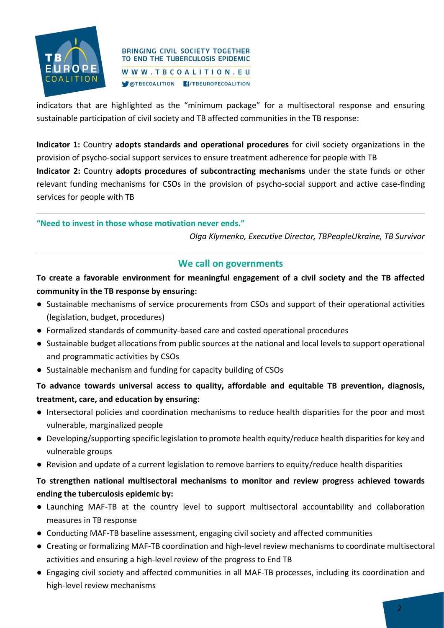

### **BRINGING CIVIL SOCIETY TOGETHER** TO END THE TUBERCULOSIS EPIDEMIC WWW.TBCOALITION.EU COTBECOALITION F/TBEUROPECOALITION

indicators that are highlighted as the "minimum package" for a multisectoral response and ensuring sustainable participation of civil society and TB affected communities in the TB response:

**Indicator 1:** Country **adopts standards and operational procedures** for civil society organizations in the provision of psycho-social support services to ensure treatment adherence for people with TB

**Indicator 2:** Country **adopts procedures of subcontracting mechanisms** under the state funds or other relevant funding mechanisms for CSOs in the provision of psycho-social support and active case-finding services for people with TB

### **"Need to invest in those whose motivation never ends."**

*Olga Klymenko, Executive Director, TBPeopleUkraine, TB Survivor*

### **We call on governments**

# **To create a favorable environment for meaningful engagement of a civil society and the TB affected community in the TB response by ensuring:**

- Sustainable mechanisms of service procurements from CSOs and support of their operational activities (legislation, budget, procedures)
- Formalized standards of community-based care and costed operational procedures
- Sustainable budget allocations from public sources at the national and local levels to support operational and programmatic activities by CSOs
- Sustainable mechanism and funding for capacity building of CSOs

# **To advance towards universal access to quality, affordable and equitable TB prevention, diagnosis, treatment, care, and education by ensuring:**

- Intersectoral policies and coordination mechanisms to reduce health disparities for the poor and most vulnerable, marginalized people
- Developing/supporting specific legislation to promote health equity/reduce health disparities for key and vulnerable groups
- Revision and update of a current legislation to remove barriers to equity/reduce health disparities

# **To strengthen national multisectoral mechanisms to monitor and review progress achieved towards ending the tuberculosis epidemic by:**

- Launching MAF-TB at the country level to support multisectoral accountability and collaboration measures in TB response
- Conducting MAF-TB baseline assessment, engaging civil society and affected communities
- Creating or formalizing MAF-TB coordination and high-level review mechanisms to coordinate multisectoral activities and ensuring a high-level review of the progress to End TB
- Engaging civil society and affected communities in all MAF-TB processes, including its coordination and high-level review mechanisms